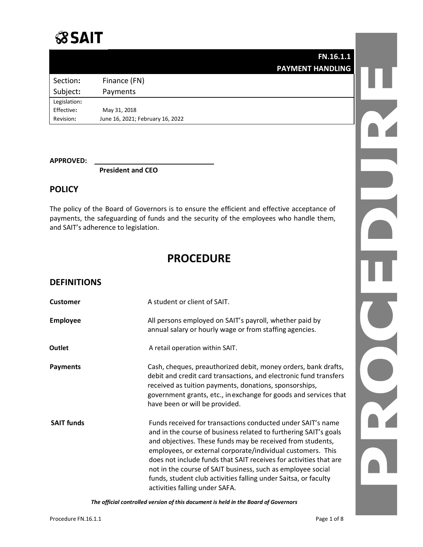

**FN.16.1.1 PAYMENT HANDLING**

Section: Finance (FN) Subject**:** Payments Legislation**:** Effective**:** May 31, 2018

Revision**:** June 16, 2021; February 16, 2022

**APPROVED:** 

**President and CEO**

## **POLICY**

The policy of the Board of Governors is to ensure the efficient and effective acceptance of payments, the safeguarding of funds and the security of the employees who handle them, and SAIT's adherence to legislation.

# **PROCEDURE**

### **DEFINITIONS**

| <b>Customer</b>   | A student or client of SAIT.                                                                                                                                                                                                                                                                                                                                                                                                                                                                          |
|-------------------|-------------------------------------------------------------------------------------------------------------------------------------------------------------------------------------------------------------------------------------------------------------------------------------------------------------------------------------------------------------------------------------------------------------------------------------------------------------------------------------------------------|
| <b>Employee</b>   | All persons employed on SAIT's payroll, whether paid by<br>annual salary or hourly wage or from staffing agencies.                                                                                                                                                                                                                                                                                                                                                                                    |
| Outlet            | A retail operation within SAIT.                                                                                                                                                                                                                                                                                                                                                                                                                                                                       |
| <b>Payments</b>   | Cash, cheques, preauthorized debit, money orders, bank drafts,<br>debit and credit card transactions, and electronic fund transfers<br>received as tuition payments, donations, sponsorships,<br>government grants, etc., in exchange for goods and services that<br>have been or will be provided.                                                                                                                                                                                                   |
| <b>SAIT funds</b> | Funds received for transactions conducted under SAIT's name<br>and in the course of business related to furthering SAIT's goals<br>and objectives. These funds may be received from students,<br>employees, or external corporate/individual customers. This<br>does not include funds that SAIT receives for activities that are<br>not in the course of SAIT business, such as employee social<br>funds, student club activities falling under Saitsa, or faculty<br>activities falling under SAFA. |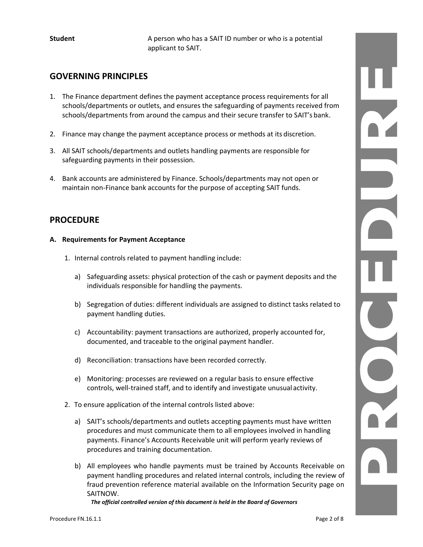**Student** A person who has a SAIT ID number or who is a potential applicant to SAIT.

## **GOVERNING PRINCIPLES**

- 1. The Finance department defines the payment acceptance process requirements for all schools/departments or outlets, and ensures the safeguarding of payments received from schools/departments from around the campus and their secure transfer to SAIT's bank.
- 2. Finance may change the payment acceptance process or methods at its discretion.
- 3. All SAIT schools/departments and outlets handling payments are responsible for safeguarding payments in their possession.
- 4. Bank accounts are administered by Finance. Schools/departments may not open or maintain non-Finance bank accounts for the purpose of accepting SAIT funds.

### **PROCEDURE**

#### **A. Requirements for Payment Acceptance**

- 1. Internal controls related to payment handling include:
	- a) Safeguarding assets: physical protection of the cash or payment deposits and the individuals responsible for handling the payments.
	- b) Segregation of duties: different individuals are assigned to distinct tasks related to payment handling duties.
	- c) Accountability: payment transactions are authorized, properly accounted for, documented, and traceable to the original payment handler.
	- d) Reconciliation: transactions have been recorded correctly.
	- e) Monitoring: processes are reviewed on a regular basis to ensure effective controls, well-trained staff, and to identify and investigate unusual activity.
- 2. To ensure application of the internal controls listed above:
	- a) SAIT's schools/departments and outlets accepting payments must have written procedures and must communicate them to all employees involved in handling payments. Finance's Accounts Receivable unit will perform yearly reviews of procedures and training documentation.
	- b) All employees who handle payments must be trained by Accounts Receivable on payment handling procedures and related internal controls, including the review of fraud prevention reference material available on the Information Security page on SAITNOW.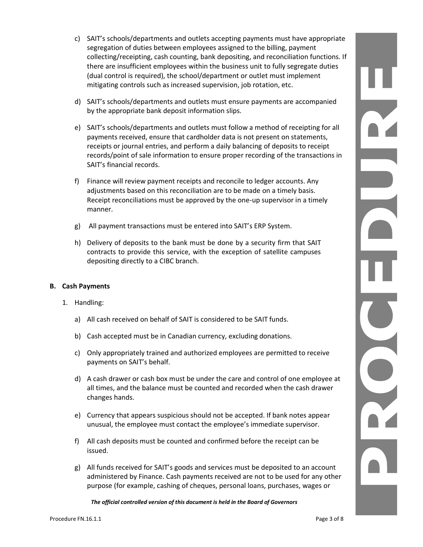- c) SAIT's schools/departments and outlets accepting payments must have appropriate segregation of duties between employees assigned to the billing, payment collecting/receipting, cash counting, bank depositing, and reconciliation functions. If there are insufficient employees within the business unit to fully segregate duties (dual control is required), the school/department or outlet must implement mitigating controls such as increased supervision, job rotation, etc.
- d) SAIT's schools/departments and outlets must ensure payments are accompanied by the appropriate bank deposit information slips.
- e) SAIT's schools/departments and outlets must follow a method of receipting for all payments received, ensure that cardholder data is not present on statements, receipts or journal entries, and perform a daily balancing of deposits to receipt records/point of sale information to ensure proper recording of the transactions in SAIT's financial records.
- f) Finance will review payment receipts and reconcile to ledger accounts. Any adjustments based on this reconciliation are to be made on a timely basis. Receipt reconciliations must be approved by the one-up supervisor in a timely manner.
- g) All payment transactions must be entered into SAIT's ERP System.
- h) Delivery of deposits to the bank must be done by a security firm that SAIT contracts to provide this service, with the exception of satellite campuses depositing directly to a CIBC branch.

#### **B. Cash Payments**

- 1. Handling:
	- a) All cash received on behalf of SAIT is considered to be SAIT funds.
	- b) Cash accepted must be in Canadian currency, excluding donations.
	- c) Only appropriately trained and authorized employees are permitted to receive payments on SAIT's behalf.
	- d) A cash drawer or cash box must be under the care and control of one employee at all times, and the balance must be counted and recorded when the cash drawer changes hands.
	- e) Currency that appears suspicious should not be accepted. If bank notes appear unusual, the employee must contact the employee's immediate supervisor.
	- f) All cash deposits must be counted and confirmed before the receipt can be issued.
	- g) All funds received for SAIT's goods and services must be deposited to an account administered by Finance. Cash payments received are not to be used for any other purpose (for example, cashing of cheques, personal loans, purchases, wages or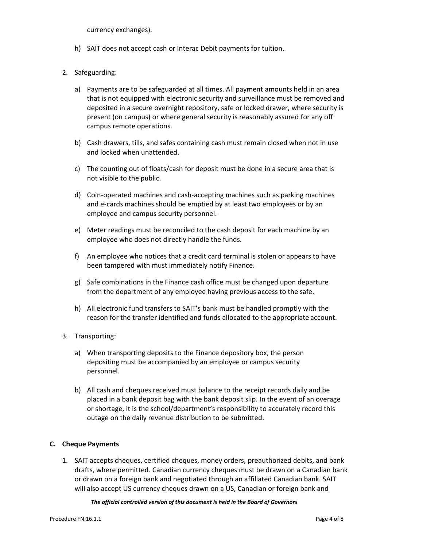currency exchanges).

- h) SAIT does not accept cash or Interac Debit payments for tuition.
- 2. Safeguarding:
	- a) Payments are to be safeguarded at all times. All payment amounts held in an area that is not equipped with electronic security and surveillance must be removed and deposited in a secure overnight repository, safe or locked drawer, where security is present (on campus) or where general security is reasonably assured for any off campus remote operations.
	- b) Cash drawers, tills, and safes containing cash must remain closed when not in use and locked when unattended.
	- c) The counting out of floats/cash for deposit must be done in a secure area that is not visible to the public.
	- d) Coin-operated machines and cash-accepting machines such as parking machines and e-cards machines should be emptied by at least two employees or by an employee and campus security personnel.
	- e) Meter readings must be reconciled to the cash deposit for each machine by an employee who does not directly handle the funds.
	- f) An employee who notices that a credit card terminal is stolen or appears to have been tampered with must immediately notify Finance.
	- g) Safe combinations in the Finance cash office must be changed upon departure from the department of any employee having previous access to the safe.
	- h) All electronic fund transfers to SAIT's bank must be handled promptly with the reason for the transfer identified and funds allocated to the appropriate account.
- 3. Transporting:
	- a) When transporting deposits to the Finance depository box, the person depositing must be accompanied by an employee or campus security personnel.
	- b) All cash and cheques received must balance to the receipt records daily and be placed in a bank deposit bag with the bank deposit slip. In the event of an overage or shortage, it is the school/department's responsibility to accurately record this outage on the daily revenue distribution to be submitted.

#### **C. Cheque Payments**

1. SAIT accepts cheques, certified cheques, money orders, preauthorized debits, and bank drafts, where permitted. Canadian currency cheques must be drawn on a Canadian bank or drawn on a foreign bank and negotiated through an affiliated Canadian bank. SAIT will also accept US currency cheques drawn on a US, Canadian or foreign bank and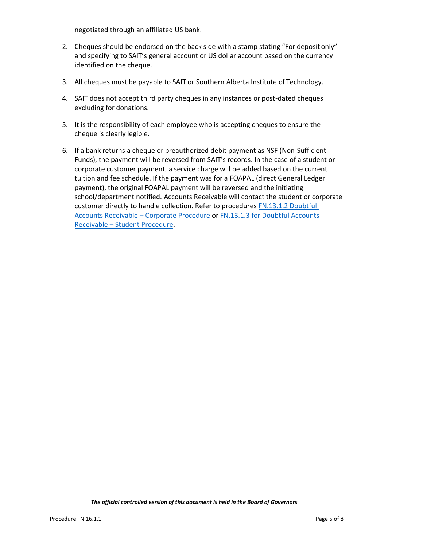negotiated through an affiliated US bank.

- 2. Cheques should be endorsed on the back side with a stamp stating "For deposit only" and specifying to SAIT's general account or US dollar account based on the currency identified on the cheque.
- 3. All cheques must be payable to SAIT or Southern Alberta Institute of Technology.
- 4. SAIT does not accept third party cheques in any instances or post-dated cheques excluding for donations.
- 5. It is the responsibility of each employee who is accepting cheques to ensure the cheque is clearly legible.
- 6. If a bank returns a cheque or preauthorized debit payment as NSF (Non-Sufficient Funds), the payment will be reversed from SAIT's records. In the case of a student or corporate customer payment, a service charge will be added based on the current tuition and fee schedule. If the payment was for a FOAPAL (direct General Ledger payment), the original FOAPAL payment will be reversed and the initiating school/department notified. Accounts Receivable will contact the student or corporate customer directly to handle collection. Refer to procedures FN.13.1.2 Doubtful [Accounts Receivable](https://www.sait.ca/assets/documents/about-sait/policies-and-procedures/finance/fn-13-1-2-doubtful-accounts-receivable-corporate.pdf) – [Corporate Procedure](http://www.sait.ca/Documents/About%20SAIT/Administration/Policies%20and%20Procedures/Finance/FN.13.1.2%20Doubtful%20Accounts%20Receivable%20-%20Corporate.pdf) or [FN.13.1.3 for Doubtful Accounts](https://www.sait.ca/assets/documents/about-sait/policies-and-procedures/finance/fn-13-1-3-doubtful-accounts-receivable-student.pdf)  [Receivable](https://www.sait.ca/assets/documents/about-sait/policies-and-procedures/finance/fn-13-1-3-doubtful-accounts-receivable-student.pdf) – Student [Procedure.](http://www.sait.ca/Documents/About%20SAIT/Administration/Policies%20and%20Procedures/Finance/FN.13.1.3%20Doubtful%20Accounts%20Receivable%20-%20Student.pdf)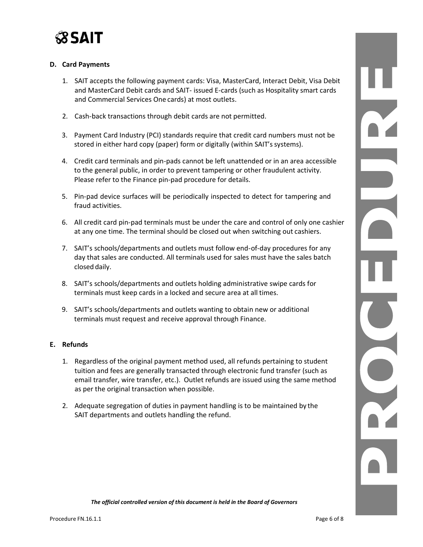

### **D. Card Payments**

- 1. SAIT accepts the following payment cards: Visa, MasterCard, Interact Debit, Visa Debit and MasterCard Debit cards and SAIT- issued E-cards (such as Hospitality smart cards and Commercial Services One cards) at most outlets.
- 2. Cash-back transactions through debit cards are not permitted.
- 3. Payment Card Industry (PCI) standards require that credit card numbers must not be stored in either hard copy (paper) form or digitally (within SAIT's systems).
- 4. Credit card terminals and pin-pads cannot be left unattended or in an area accessible to the general public, in order to prevent tampering or other fraudulent activity. Please refer to the Finance pin-pad procedure for details.
- 5. Pin-pad device surfaces will be periodically inspected to detect for tampering and fraud activities.
- 6. All credit card pin-pad terminals must be under the care and control of only one cashier at any one time. The terminal should be closed out when switching out cashiers.
- 7. SAIT's schools/departments and outlets must follow end-of-day procedures for any day that sales are conducted. All terminals used for sales must have the sales batch closed daily.
- 8. SAIT's schools/departments and outlets holding administrative swipe cards for terminals must keep cards in a locked and secure area at all times.
- 9. SAIT's schools/departments and outlets wanting to obtain new or additional terminals must request and receive approval through Finance.

#### **E. Refunds**

- 1. Regardless of the original payment method used, all refunds pertaining to student tuition and fees are generally transacted through electronic fund transfer (such as email transfer, wire transfer, etc.). Outlet refunds are issued using the same method as per the original transaction when possible.
- 2. Adequate segregation of duties in payment handling is to be maintained by the SAIT departments and outlets handling the refund.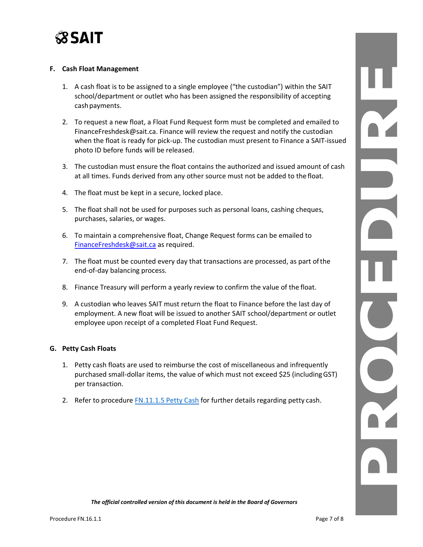

#### **F. Cash Float Management**

- 1. A cash float is to be assigned to a single employee ("the custodian") within the SAIT school/department or outlet who has been assigned the responsibility of accepting cash payments.
- 2. To request a new float, a Float Fund Request form must be completed and emailed to FinanceFreshdesk@sait.ca. Finance will review the request and notify the custodian when the float is ready for pick-up. The custodian must present to Finance a SAIT-issued photo ID before funds will be released.
- 3. The custodian must ensure the float contains the authorized and issued amount of cash at all times. Funds derived from any other source must not be added to the float.
- 4. The float must be kept in a secure, locked place.
- 5. The float shall not be used for purposes such as personal loans, cashing cheques, purchases, salaries, or wages.
- 6. To maintain a comprehensive float, Change Request forms can be emailed to [FinanceFreshdesk@sait.ca](mailto:FinanceFreshdesk@sait.ca) as required.
- 7. The float must be counted every day that transactions are processed, as part ofthe end-of-day balancing process.
- 8. Finance Treasury will perform a yearly review to confirm the value of the float.
- 9. A custodian who leaves SAIT must return the float to Finance before the last day of employment. A new float will be issued to another SAIT school/department or outlet employee upon receipt of a completed Float Fund Request.

#### **G. Petty Cash Floats**

- 1. Petty cash floats are used to reimburse the cost of miscellaneous and infrequently purchased small-dollar items, the value of which must not exceed \$25 (includingGST) per transaction.
- 2. Refer to procedure **[FN.11.1.5 Petty Cash](https://www.sait.ca/assets/documents/about-sait/policies-and-procedures/finance/fn-11-1-5-petty-cash.pdf) for further details regarding petty cash.**

PALLUM